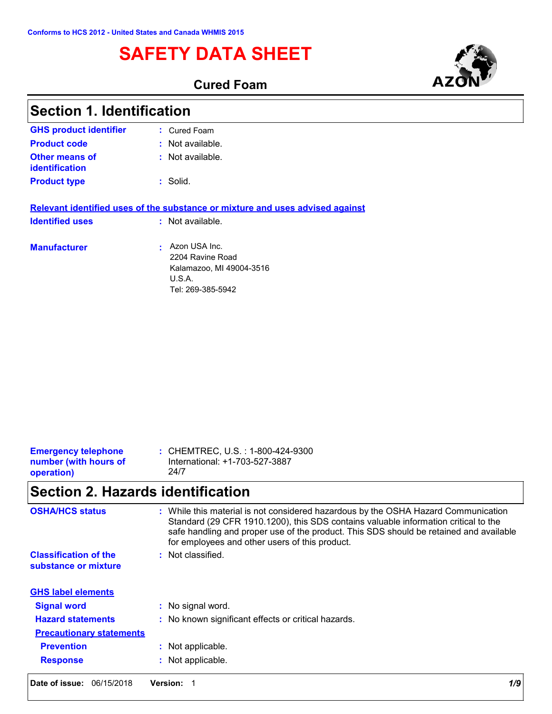# **SAFETY DATA SHEET**

**Cured Foam**

| <b>Section 1. Identification</b>        |                                                                                              |  |
|-----------------------------------------|----------------------------------------------------------------------------------------------|--|
| <b>GHS product identifier</b>           | : Cured Foam                                                                                 |  |
| <b>Product code</b>                     | : Not available.                                                                             |  |
| Other means of<br><b>identification</b> | : Not available.                                                                             |  |
| <b>Product type</b>                     | : Solid.                                                                                     |  |
|                                         | Relevant identified uses of the substance or mixture and uses advised against                |  |
| <b>Identified uses</b>                  | : Not available.                                                                             |  |
| <b>Manufacturer</b>                     | Azon USA Inc.<br>2204 Ravine Road<br>Kalamazoo, MI 49004-3516<br>U.S.A.<br>Tel: 269-385-5942 |  |

| <b>Emergency telephone</b><br>number (with hours of<br>24/7<br>operation) | : CHEMTREC, U.S. : 1-800-424-9300<br>International: +1-703-527-3887 |
|---------------------------------------------------------------------------|---------------------------------------------------------------------|
|---------------------------------------------------------------------------|---------------------------------------------------------------------|

# **Section 2. Hazards identification**

| <b>OSHA/HCS status</b>                               | : While this material is not considered hazardous by the OSHA Hazard Communication<br>Standard (29 CFR 1910.1200), this SDS contains valuable information critical to the<br>safe handling and proper use of the product. This SDS should be retained and available<br>for employees and other users of this product. |
|------------------------------------------------------|-----------------------------------------------------------------------------------------------------------------------------------------------------------------------------------------------------------------------------------------------------------------------------------------------------------------------|
| <b>Classification of the</b><br>substance or mixture | Not classified.<br>÷.                                                                                                                                                                                                                                                                                                 |
| <b>GHS label elements</b>                            |                                                                                                                                                                                                                                                                                                                       |
| <b>Signal word</b>                                   | : No signal word.                                                                                                                                                                                                                                                                                                     |
| <b>Hazard statements</b>                             | : No known significant effects or critical hazards.                                                                                                                                                                                                                                                                   |
| <b>Precautionary statements</b>                      |                                                                                                                                                                                                                                                                                                                       |
| <b>Prevention</b>                                    | : Not applicable.                                                                                                                                                                                                                                                                                                     |
| <b>Response</b>                                      | : Not applicable.                                                                                                                                                                                                                                                                                                     |
| Date of issue:<br>06/15/2018                         | 1/9<br><b>Version:</b>                                                                                                                                                                                                                                                                                                |

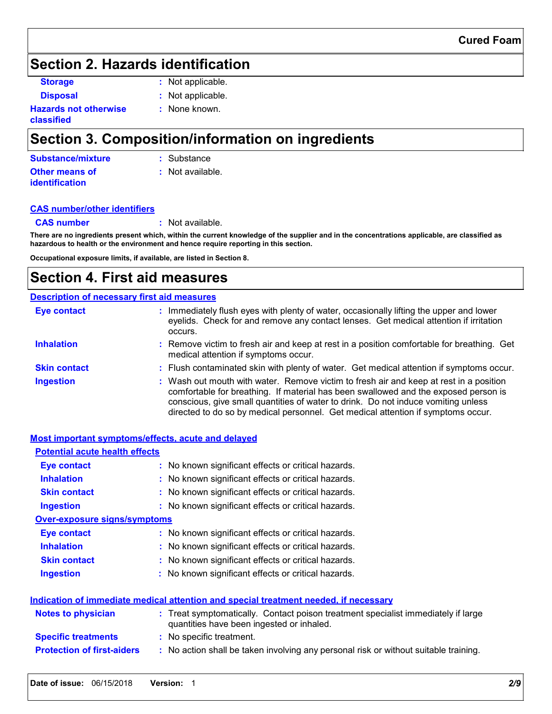## **Section 2. Hazards identification**

**Storage :** Not applicable.

**Disposal :** Not applicable. **:** None known.

**Hazards not otherwise classified**

# **Section 3. Composition/information on ingredients**

| Substance/mixture     | : Substance        |
|-----------------------|--------------------|
| <b>Other means of</b> | $:$ Not available. |
| <i>identification</i> |                    |

### **CAS number/other identifiers**

**CAS number :** Not available.

**There are no ingredients present which, within the current knowledge of the supplier and in the concentrations applicable, are classified as hazardous to health or the environment and hence require reporting in this section.**

**Occupational exposure limits, if available, are listed in Section 8.**

## **Section 4. First aid measures**

### **Description of necessary first aid measures**

| <b>Eye contact</b>  | Immediately flush eyes with plenty of water, occasionally lifting the upper and lower<br>eyelids. Check for and remove any contact lenses. Get medical attention if irritation<br>occurs.                                                                                                                                                              |
|---------------------|--------------------------------------------------------------------------------------------------------------------------------------------------------------------------------------------------------------------------------------------------------------------------------------------------------------------------------------------------------|
| <b>Inhalation</b>   | : Remove victim to fresh air and keep at rest in a position comfortable for breathing. Get<br>medical attention if symptoms occur.                                                                                                                                                                                                                     |
| <b>Skin contact</b> | : Flush contaminated skin with plenty of water. Get medical attention if symptoms occur.                                                                                                                                                                                                                                                               |
| <b>Ingestion</b>    | : Wash out mouth with water. Remove victim to fresh air and keep at rest in a position<br>comfortable for breathing. If material has been swallowed and the exposed person is<br>conscious, give small quantities of water to drink. Do not induce vomiting unless<br>directed to do so by medical personnel. Get medical attention if symptoms occur. |

| Most important symptoms/effects, acute and delayed |                                                                                                                                |
|----------------------------------------------------|--------------------------------------------------------------------------------------------------------------------------------|
| <b>Potential acute health effects</b>              |                                                                                                                                |
| Eye contact                                        | : No known significant effects or critical hazards.                                                                            |
| <b>Inhalation</b>                                  | : No known significant effects or critical hazards.                                                                            |
| <b>Skin contact</b>                                | : No known significant effects or critical hazards.                                                                            |
| <b>Ingestion</b>                                   | : No known significant effects or critical hazards.                                                                            |
| <b>Over-exposure signs/symptoms</b>                |                                                                                                                                |
| <b>Eye contact</b>                                 | : No known significant effects or critical hazards.                                                                            |
| <b>Inhalation</b>                                  | : No known significant effects or critical hazards.                                                                            |
| <b>Skin contact</b>                                | : No known significant effects or critical hazards.                                                                            |
| <b>Ingestion</b>                                   | : No known significant effects or critical hazards.                                                                            |
|                                                    | Indication of immediate medical attention and special treatment needed, if necessary                                           |
| <b>Notes to physician</b>                          | : Treat symptomatically. Contact poison treatment specialist immediately if large<br>quantities have been ingested or inhaled. |
| <b>Specific treatments</b>                         | : No specific treatment.                                                                                                       |
| <b>Protection of first-aiders</b>                  | : No action shall be taken involving any personal risk or without suitable training.                                           |
|                                                    |                                                                                                                                |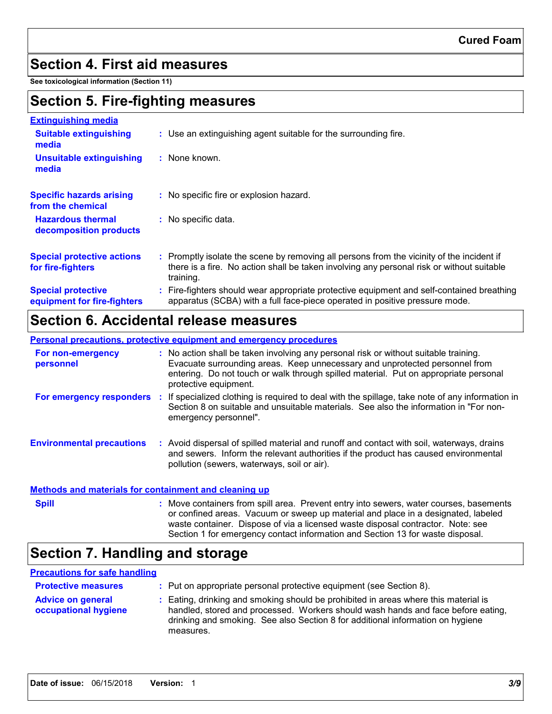### **Section 4. First aid measures**

**See toxicological information (Section 11)**

## **Section 5. Fire-fighting measures**

| <b>Extinguishing media</b>                               |                                                                                                                                                                                                     |
|----------------------------------------------------------|-----------------------------------------------------------------------------------------------------------------------------------------------------------------------------------------------------|
| <b>Suitable extinguishing</b><br>media                   | : Use an extinguishing agent suitable for the surrounding fire.                                                                                                                                     |
| <b>Unsuitable extinguishing</b><br>media                 | : None known.                                                                                                                                                                                       |
| <b>Specific hazards arising</b><br>from the chemical     | : No specific fire or explosion hazard.                                                                                                                                                             |
| <b>Hazardous thermal</b><br>decomposition products       | : No specific data.                                                                                                                                                                                 |
| <b>Special protective actions</b><br>for fire-fighters   | : Promptly isolate the scene by removing all persons from the vicinity of the incident if<br>there is a fire. No action shall be taken involving any personal risk or without suitable<br>training. |
| <b>Special protective</b><br>equipment for fire-fighters | : Fire-fighters should wear appropriate protective equipment and self-contained breathing<br>apparatus (SCBA) with a full face-piece operated in positive pressure mode.                            |

### **Section 6. Accidental release measures**

**Personal precautions, protective equipment and emergency procedures**

| For non-emergency<br>personnel                        | : No action shall be taken involving any personal risk or without suitable training.<br>Evacuate surrounding areas. Keep unnecessary and unprotected personnel from<br>entering. Do not touch or walk through spilled material. Put on appropriate personal<br>protective equipment. |
|-------------------------------------------------------|--------------------------------------------------------------------------------------------------------------------------------------------------------------------------------------------------------------------------------------------------------------------------------------|
| For emergency responders                              | If specialized clothing is required to deal with the spillage, take note of any information in<br>÷.<br>Section 8 on suitable and unsuitable materials. See also the information in "For non-<br>emergency personnel".                                                               |
| <b>Environmental precautions</b>                      | : Avoid dispersal of spilled material and runoff and contact with soil, waterways, drains<br>and sewers. Inform the relevant authorities if the product has caused environmental<br>pollution (sewers, waterways, soil or air).                                                      |
| Methods and materials for containment and cleaning up |                                                                                                                                                                                                                                                                                      |
| Snill                                                 | . Move containers from spill area. Prevent entry into sewers water courses hasements                                                                                                                                                                                                 |

ntainers from spill area. Prevent entry into sewers, water courses, basements or confined areas. Vacuum or sweep up material and place in a designated, labeled waste container. Dispose of via a licensed waste disposal contractor. Note: see Section 1 for emergency contact information and Section 13 for waste disposal. **Spill :**

# **Section 7. Handling and storage**

### **Precautions for safe handling**

| <b>Protective measures</b>                       | : Put on appropriate personal protective equipment (see Section 8).                                                                                                                                                                                                    |
|--------------------------------------------------|------------------------------------------------------------------------------------------------------------------------------------------------------------------------------------------------------------------------------------------------------------------------|
| <b>Advice on general</b><br>occupational hygiene | : Eating, drinking and smoking should be prohibited in areas where this material is<br>handled, stored and processed. Workers should wash hands and face before eating,<br>drinking and smoking. See also Section 8 for additional information on hygiene<br>measures. |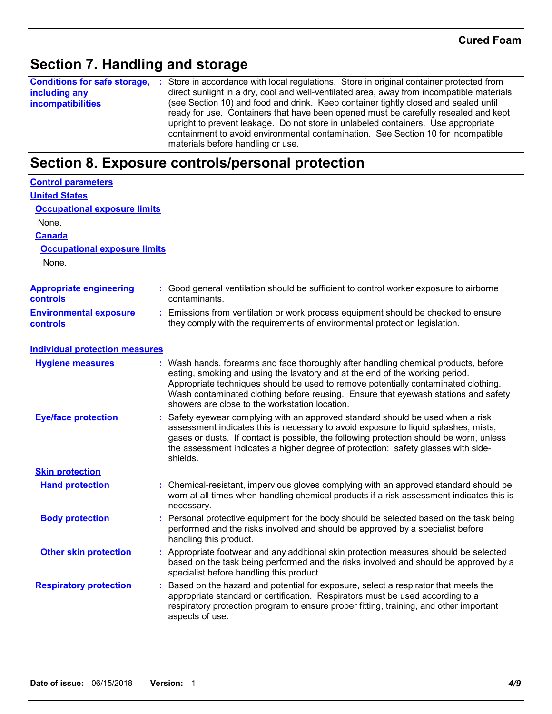## **Section 7. Handling and storage**

**Conditions for safe storage,** : Store in accordance with local regulations. Store in original container protected from **including any incompatibilities** direct sunlight in a dry, cool and well-ventilated area, away from incompatible materials (see Section 10) and food and drink. Keep container tightly closed and sealed until ready for use. Containers that have been opened must be carefully resealed and kept upright to prevent leakage. Do not store in unlabeled containers. Use appropriate containment to avoid environmental contamination. See Section 10 for incompatible materials before handling or use.

### **Section 8. Exposure controls/personal protection**

| <b>Control parameters</b>                         |  |                                                                                                                                                                                                                                                                                                                                                                                                 |  |  |  |
|---------------------------------------------------|--|-------------------------------------------------------------------------------------------------------------------------------------------------------------------------------------------------------------------------------------------------------------------------------------------------------------------------------------------------------------------------------------------------|--|--|--|
| <b>United States</b>                              |  |                                                                                                                                                                                                                                                                                                                                                                                                 |  |  |  |
| <b>Occupational exposure limits</b>               |  |                                                                                                                                                                                                                                                                                                                                                                                                 |  |  |  |
| None.                                             |  |                                                                                                                                                                                                                                                                                                                                                                                                 |  |  |  |
| <b>Canada</b>                                     |  |                                                                                                                                                                                                                                                                                                                                                                                                 |  |  |  |
| <b>Occupational exposure limits</b>               |  |                                                                                                                                                                                                                                                                                                                                                                                                 |  |  |  |
| None.                                             |  |                                                                                                                                                                                                                                                                                                                                                                                                 |  |  |  |
| <b>Appropriate engineering</b><br><b>controls</b> |  | : Good general ventilation should be sufficient to control worker exposure to airborne<br>contaminants.                                                                                                                                                                                                                                                                                         |  |  |  |
| <b>Environmental exposure</b><br>controls         |  | Emissions from ventilation or work process equipment should be checked to ensure<br>they comply with the requirements of environmental protection legislation.                                                                                                                                                                                                                                  |  |  |  |
| <b>Individual protection measures</b>             |  |                                                                                                                                                                                                                                                                                                                                                                                                 |  |  |  |
| <b>Hygiene measures</b>                           |  | Wash hands, forearms and face thoroughly after handling chemical products, before<br>eating, smoking and using the lavatory and at the end of the working period.<br>Appropriate techniques should be used to remove potentially contaminated clothing.<br>Wash contaminated clothing before reusing. Ensure that eyewash stations and safety<br>showers are close to the workstation location. |  |  |  |
| <b>Eye/face protection</b>                        |  | Safety eyewear complying with an approved standard should be used when a risk<br>assessment indicates this is necessary to avoid exposure to liquid splashes, mists,<br>gases or dusts. If contact is possible, the following protection should be worn, unless<br>the assessment indicates a higher degree of protection: safety glasses with side-<br>shields.                                |  |  |  |
| <b>Skin protection</b>                            |  |                                                                                                                                                                                                                                                                                                                                                                                                 |  |  |  |
| <b>Hand protection</b>                            |  | Chemical-resistant, impervious gloves complying with an approved standard should be<br>worn at all times when handling chemical products if a risk assessment indicates this is<br>necessary.                                                                                                                                                                                                   |  |  |  |
| <b>Body protection</b>                            |  | Personal protective equipment for the body should be selected based on the task being<br>performed and the risks involved and should be approved by a specialist before<br>handling this product.                                                                                                                                                                                               |  |  |  |
| <b>Other skin protection</b>                      |  | Appropriate footwear and any additional skin protection measures should be selected<br>based on the task being performed and the risks involved and should be approved by a<br>specialist before handling this product.                                                                                                                                                                         |  |  |  |
| <b>Respiratory protection</b>                     |  | Based on the hazard and potential for exposure, select a respirator that meets the<br>appropriate standard or certification. Respirators must be used according to a<br>respiratory protection program to ensure proper fitting, training, and other important<br>aspects of use.                                                                                                               |  |  |  |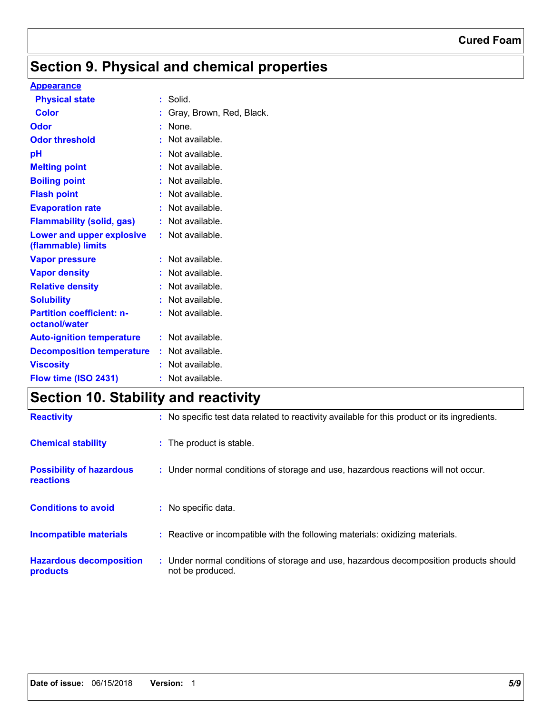# **Section 9. Physical and chemical properties**

### **Appearance**

| <b>Physical state</b>                                  |    | Solid.                   |
|--------------------------------------------------------|----|--------------------------|
| Color                                                  | t  | Gray, Brown, Red, Black. |
| Odor                                                   |    | None.                    |
| <b>Odor threshold</b>                                  |    | Not available.           |
| рH                                                     |    | Not available.           |
| <b>Melting point</b>                                   |    | Not available.           |
| <b>Boiling point</b>                                   |    | Not available.           |
| <b>Flash point</b>                                     |    | Not available.           |
| <b>Evaporation rate</b>                                |    | Not available.           |
| <b>Flammability (solid, gas)</b>                       |    | Not available.           |
| <b>Lower and upper explosive</b><br>(flammable) limits | t. | Not available.           |
| <b>Vapor pressure</b>                                  | t  | Not available.           |
| <b>Vapor density</b>                                   | t  | Not available.           |
| <b>Relative density</b>                                |    | Not available.           |
| <b>Solubility</b>                                      |    | Not available.           |
| <b>Partition coefficient: n-</b><br>octanol/water      |    | Not available.           |
|                                                        |    | $:$ Not available.       |
| <b>Auto-ignition temperature</b>                       |    |                          |
| <b>Decomposition temperature</b>                       |    | : Not available.         |
| <b>Viscosity</b>                                       |    | Not available.           |
| Flow time (ISO 2431)                                   |    | Not available.           |

# **Section 10. Stability and reactivity**

| <b>Reactivity</b>                                   | : No specific test data related to reactivity available for this product or its ingredients.              |
|-----------------------------------------------------|-----------------------------------------------------------------------------------------------------------|
| <b>Chemical stability</b>                           | : The product is stable.                                                                                  |
| <b>Possibility of hazardous</b><br><b>reactions</b> | : Under normal conditions of storage and use, hazardous reactions will not occur.                         |
| <b>Conditions to avoid</b>                          | : No specific data.                                                                                       |
| <b>Incompatible materials</b>                       | : Reactive or incompatible with the following materials: oxidizing materials.                             |
| <b>Hazardous decomposition</b><br>products          | : Under normal conditions of storage and use, hazardous decomposition products should<br>not be produced. |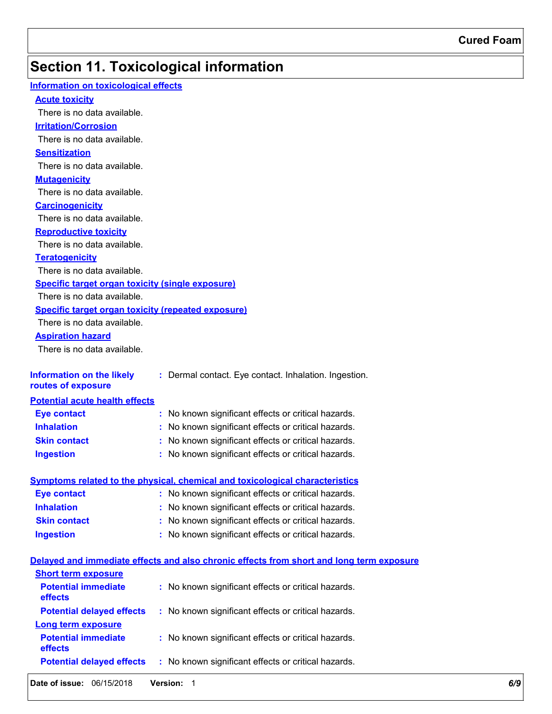# **Section 11. Toxicological information**

| <b>Information on toxicological effects</b>               |                                                                                          |
|-----------------------------------------------------------|------------------------------------------------------------------------------------------|
| <b>Acute toxicity</b>                                     |                                                                                          |
| There is no data available.                               |                                                                                          |
| <b>Irritation/Corrosion</b>                               |                                                                                          |
| There is no data available.                               |                                                                                          |
| <b>Sensitization</b>                                      |                                                                                          |
| There is no data available.                               |                                                                                          |
| <b>Mutagenicity</b>                                       |                                                                                          |
| There is no data available.                               |                                                                                          |
| <b>Carcinogenicity</b>                                    |                                                                                          |
| There is no data available.                               |                                                                                          |
| <b>Reproductive toxicity</b>                              |                                                                                          |
| There is no data available.                               |                                                                                          |
| <b>Teratogenicity</b>                                     |                                                                                          |
| There is no data available.                               |                                                                                          |
| <b>Specific target organ toxicity (single exposure)</b>   |                                                                                          |
| There is no data available.                               |                                                                                          |
| <b>Specific target organ toxicity (repeated exposure)</b> |                                                                                          |
| There is no data available.                               |                                                                                          |
| <b>Aspiration hazard</b>                                  |                                                                                          |
| There is no data available.                               |                                                                                          |
|                                                           |                                                                                          |
| <b>Information on the likely</b>                          | : Dermal contact. Eye contact. Inhalation. Ingestion.                                    |
| routes of exposure                                        |                                                                                          |
| <b>Potential acute health effects</b>                     |                                                                                          |
| <b>Eye contact</b>                                        | : No known significant effects or critical hazards.                                      |
| <b>Inhalation</b>                                         | : No known significant effects or critical hazards.                                      |
| <b>Skin contact</b>                                       | : No known significant effects or critical hazards.                                      |
| <b>Ingestion</b>                                          | : No known significant effects or critical hazards.                                      |
|                                                           |                                                                                          |
|                                                           | <b>Symptoms related to the physical, chemical and toxicological characteristics</b>      |
| <b>Eye contact</b>                                        | : No known significant effects or critical hazards.                                      |
| <b>Inhalation</b>                                         | : No known significant effects or critical hazards.                                      |
| <b>Skin contact</b>                                       | No known significant effects or critical hazards.                                        |
| <b>Ingestion</b>                                          | : No known significant effects or critical hazards.                                      |
|                                                           |                                                                                          |
|                                                           | Delayed and immediate effects and also chronic effects from short and long term exposure |
| <b>Short term exposure</b>                                |                                                                                          |
| <b>Potential immediate</b>                                | : No known significant effects or critical hazards.                                      |
| effects                                                   |                                                                                          |
| <b>Potential delayed effects</b>                          | : No known significant effects or critical hazards.                                      |
| <b>Long term exposure</b>                                 |                                                                                          |
| <b>Potential immediate</b>                                | : No known significant effects or critical hazards.                                      |
| effects                                                   |                                                                                          |
| <b>Potential delayed effects</b>                          | : No known significant effects or critical hazards.                                      |
|                                                           |                                                                                          |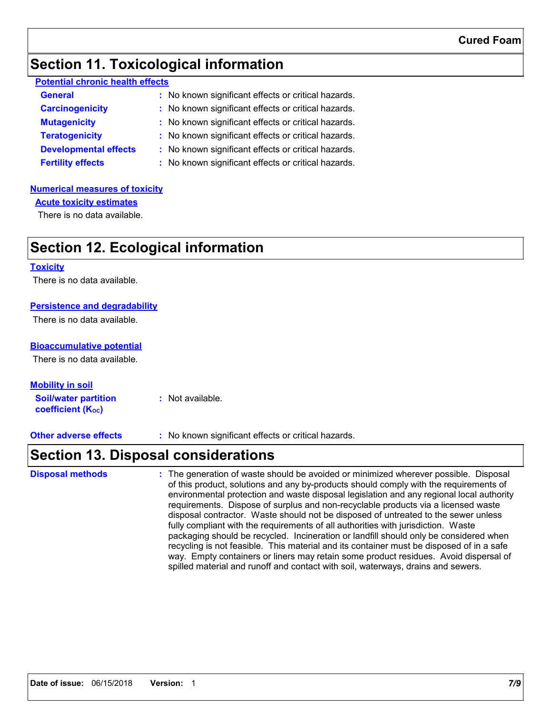### **Section 11. Toxicological information**

| <b>Potential chronic health effects</b> |
|-----------------------------------------|
|-----------------------------------------|

| <b>General</b>               | : No known significant effects or critical hazards. |
|------------------------------|-----------------------------------------------------|
| <b>Carcinogenicity</b>       | : No known significant effects or critical hazards. |
| <b>Mutagenicity</b>          | : No known significant effects or critical hazards. |
| <b>Teratogenicity</b>        | : No known significant effects or critical hazards. |
| <b>Developmental effects</b> | : No known significant effects or critical hazards. |
| <b>Fertility effects</b>     | : No known significant effects or critical hazards. |

### **Numerical measures of toxicity**

**Acute toxicity estimates**

There is no data available.

## **Section 12. Ecological information**

#### **Toxicity**

There is no data available.

### **Persistence and degradability**

There is no data available.

### **Bioaccumulative potential**

There is no data available.

### **Mobility in soil**

**Soil/water partition coefficient (K**<sup>oc</sup>) **:** Not available.

**Other adverse effects** : No known significant effects or critical hazards.

## **Section 13. Disposal considerations**

The generation of waste should be avoided or minimized wherever possible. Disposal of this product, solutions and any by-products should comply with the requirements of environmental protection and waste disposal legislation and any regional local authority requirements. Dispose of surplus and non-recyclable products via a licensed waste disposal contractor. Waste should not be disposed of untreated to the sewer unless fully compliant with the requirements of all authorities with jurisdiction. Waste packaging should be recycled. Incineration or landfill should only be considered when recycling is not feasible. This material and its container must be disposed of in a safe way. Empty containers or liners may retain some product residues. Avoid dispersal of spilled material and runoff and contact with soil, waterways, drains and sewers. **Disposal methods :**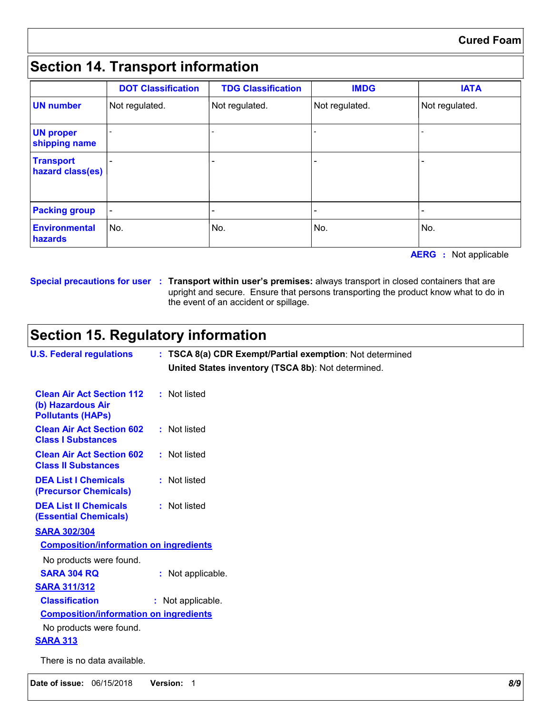# **Section 14. Transport information**

|                                      | <b>DOT Classification</b> | <b>TDG Classification</b> | <b>IMDG</b>    | <b>IATA</b>    |
|--------------------------------------|---------------------------|---------------------------|----------------|----------------|
| <b>UN number</b>                     | Not regulated.            | Not regulated.            | Not regulated. | Not regulated. |
| <b>UN proper</b><br>shipping name    |                           | -                         |                |                |
| <b>Transport</b><br>hazard class(es) |                           |                           |                |                |
| <b>Packing group</b>                 | $\qquad \qquad -$         |                           |                |                |
| <b>Environmental</b><br>hazards      | No.                       | No.                       | No.            | No.            |

**AERG :** Not applicable

**Special precautions for user Transport within user's premises:** always transport in closed containers that are **:** upright and secure. Ensure that persons transporting the product know what to do in the event of an accident or spillage.

# **Section 15. Regulatory information**

| <b>U.S. Federal regulations</b>                                                   | : TSCA 8(a) CDR Exempt/Partial exemption: Not determined<br>United States inventory (TSCA 8b): Not determined. |  |
|-----------------------------------------------------------------------------------|----------------------------------------------------------------------------------------------------------------|--|
| <b>Clean Air Act Section 112</b><br>(b) Hazardous Air<br><b>Pollutants (HAPs)</b> | : Not listed                                                                                                   |  |
| <b>Clean Air Act Section 602</b><br><b>Class I Substances</b>                     | : Not listed                                                                                                   |  |
| <b>Clean Air Act Section 602</b><br><b>Class II Substances</b>                    | : Not listed                                                                                                   |  |
| <b>DEA List I Chemicals</b><br>(Precursor Chemicals)                              | : Not listed                                                                                                   |  |
| <b>DEA List II Chemicals</b><br><b>(Essential Chemicals)</b>                      | : Not listed                                                                                                   |  |
| <b>SARA 302/304</b>                                                               |                                                                                                                |  |
| <b>Composition/information on ingredients</b>                                     |                                                                                                                |  |
| No products were found.                                                           |                                                                                                                |  |
| <b>SARA 304 RQ</b>                                                                | : Not applicable.                                                                                              |  |
| <b>SARA 311/312</b>                                                               |                                                                                                                |  |
| <b>Classification</b>                                                             | : Not applicable.                                                                                              |  |
| <b>Composition/information on ingredients</b>                                     |                                                                                                                |  |
| No products were found.                                                           |                                                                                                                |  |
| <b>SARA 313</b>                                                                   |                                                                                                                |  |
| There is no data available.                                                       |                                                                                                                |  |